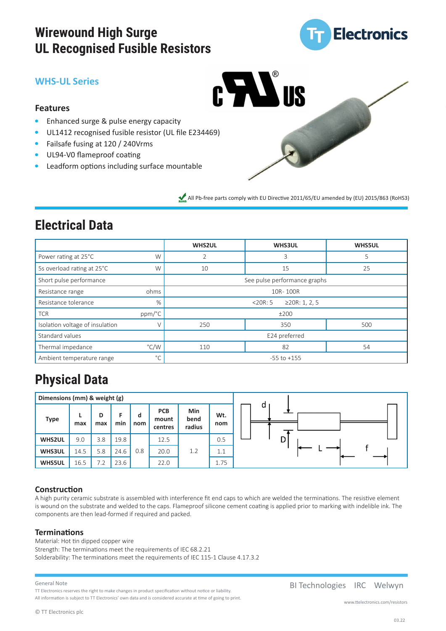# **Wirewound High Surge UL Recognised Fusible Resistors**



### **WHS-UL Series**



### **Features**

- $\bullet$ Enhanced surge & pulse energy capacity
- UL1412 recognised fusible resistor (UL file E234469)  $\bullet$
- $\bullet$ Failsafe fusing at 120 / 240Vrms
- UL94-V0 flameproof coating
- Leadform options including surface mountable

All Pb-free parts comply with EU Directive 2011/65/EU amended by (EU) 2015/863 (RoHS3)

# **Electrical Data**

|                                 |               | <b>WHS2UL</b>                    | <b>WHS3UL</b> | <b>WHS5UL</b> |  |  |  |  |
|---------------------------------|---------------|----------------------------------|---------------|---------------|--|--|--|--|
| Power rating at 25°C            | W             | 2                                | 5             |               |  |  |  |  |
| 5s overload rating at 25°C      | W             | 10                               | 15<br>25      |               |  |  |  |  |
| Short pulse performance         |               | See pulse performance graphs     |               |               |  |  |  |  |
| Resistance range                | ohms          | 10R-100R                         |               |               |  |  |  |  |
| Resistance tolerance            | $\%$          | ≥20 $R: 1, 2, 5$<br>$<$ 20 $R:5$ |               |               |  |  |  |  |
| <b>TCR</b>                      | ppm/°C        | ±200                             |               |               |  |  |  |  |
| Isolation voltage of insulation |               | 250<br>350<br>500                |               |               |  |  |  |  |
| Standard values                 |               | E24 preferred                    |               |               |  |  |  |  |
| Thermal impedance               | $\degree$ C/W | 54<br>82<br>110                  |               |               |  |  |  |  |
| Ambient temperature range       | $^{\circ}$ C  | $-55$ to $+155$                  |               |               |  |  |  |  |

# **Physical Data**

| Dimensions (mm) & weight (g) |      |          |      |          |                                |                       |            |   |
|------------------------------|------|----------|------|----------|--------------------------------|-----------------------|------------|---|
| <b>Type</b>                  | max  | D<br>max | min  | d<br>nom | <b>PCB</b><br>mount<br>centres | Min<br>bend<br>radius | Wt.<br>nom | a |
| <b>WHS2UL</b>                | 9.0  | 3.8      | 19.8 |          | 12.5                           |                       | 0.5        |   |
| <b>WHS3UL</b>                | 14.5 | 5.8      | 24.6 | 0.8      | 20.0                           | 1.2                   | 1.1        |   |
| <b>WHS5UL</b>                | 16.5 | 7.2      | 23.6 |          | 22.0                           |                       | 1.75       |   |

### **Construction**

A high purity ceramic substrate is assembled with interference fit end caps to which are welded the terminations. The resistive element is wound on the substrate and welded to the caps. Flameproof silicone cement coating is applied prior to marking with indelible ink. The components are then lead-formed if required and packed.

### **Terminations**

Material: Hot tin dipped copper wire Strength: The terminations meet the requirements of IEC 68.2.21 Solderability: The terminations meet the requirements of IEC 115-1 Clause 4.17.3.2

#### General Note

All information is subject to TT Electronics' own data and is considered accurate at time of going to print.

BI Technologies IRC Welwyn

TT Electronics reserves the right to make changes in product specification without notice or liability.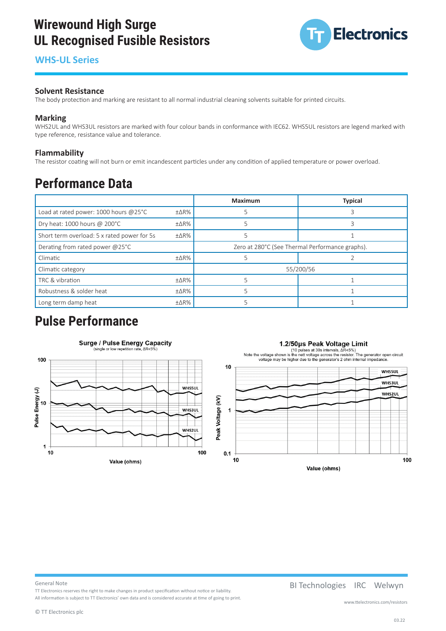### **Wirewound High Surge UL Recognised Fusible Resistors Wirewound High Surge UL Recognised Fusible Resistors**

## **WHS-UL Series WHS-UL Series**



### **The body protection and marking are resistance** to all normal industrial cleaning solvents suitable for printed circuits. The body protection and marking solvents suitable for printed circuits. The body printed circuits i

The body protection and marking are resistant to all normal industrial cleaning solvents suitable for printed circuits.

#### **Marking**  $\mathsf{Marking}\hspace{0.5cm} \rule{0.7pt}{1.1ex}\hspace{0.5cm}$

WHS2UL and WHS3UL resistors are marked with four colour bands in conformance with IEC62. WHS5UL resistors are legend marked with type reference, resistance value and tolerance.

#### **Flammability Flammability**

**riammability**<br>The resistor coating will not burn or emit incandescent particles under any condition of applied temperature or power overload. overledes<br>and the resist of the results of the results of the control of the control of the control of the control of th<br>control of the control of the control of the control of the control of the control of the control of

# **Performance Data Performance Data**

|                                               |                | Maximum                                         | <b>Typical</b> |  |  |
|-----------------------------------------------|----------------|-------------------------------------------------|----------------|--|--|
| Load at rated power: 1000 hours @25°C<br>±∆R% |                |                                                 |                |  |  |
| Dry heat: 1000 hours @ 200°C                  | $\pm\Delta$ R% |                                                 |                |  |  |
| Short term overload: 5 x rated power for 5s   |                |                                                 |                |  |  |
| Derating from rated power @25°C               |                | Zero at 280°C (See Thermal Performance graphs). |                |  |  |
| Climatic                                      | ±∆R%           |                                                 |                |  |  |
| Climatic category                             |                | 55/200/56                                       |                |  |  |
| TRC & vibration                               | $± \Delta R\%$ |                                                 |                |  |  |
| Robustness & solder heat<br>$± \Delta R\%$    |                |                                                 |                |  |  |
| Long term damp heat                           | ±ΔR%           |                                                 |                |  |  |
|                                               |                |                                                 |                |  |  |

# **Pulse Performance**



All information is subject to TT Electronics' oral is considered accurate at time of going to print. We are si

#### General Note

TT Electronics reserves the right to make changes in product specification without notice or liability.

BI Technologies IRC Welwyn BI Technologies IRC Welwyn

All information is subject to TT Electronics' own data and is considered accurate at time of going to print.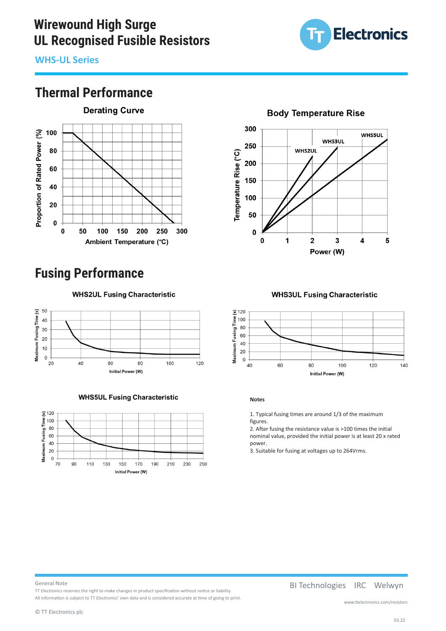# **Wirewound High Surge Wirewound High Surge UL Recognised Fusible Resistors**



**WHS-UL Series WHS-UL Series WHS-UL Series** 

### **Thermal Performance WHS-UL Series**



# **Fusing Performance Fusing Performance**

**WHS2UL Fusing Characteristic** 



**WHS5UL Fusing Characteristic** 



300 **WHS5UL WHS3UL** 250 **WHS2UL** Temperature Rise (°C) 200 150 100 50  $\pmb{0}$  $\mathbf 0$  $\mathbf{1}$  $\overline{2}$ 3  $\overline{\mathbf{4}}$ 5 Power (W)

**Body Temperature Rise** 

**WHS3UL Fusing Characteristic** 



 $\frac{1}{2}$  . Typical fusing times are around 1/3 of the maximum maximum maximum maximum maximum maximum maximum figures. **Notes**

 $\overline{a}$  at resistance value is  $100$  times the initial the initial the initial term is  $100$  times the initial term is  $\overline{a}$ 1. Typical fusing times are around 1/3 of the maximum<br>c figures.<br>2

2. After fusing the resistance value is  $>100$  times the initial nominal value, provided the initial power is at least 20 x rated power.

3. Suitable for fusing at voltages up to 264Vrms.

#### General Note **General Note**  $A$ l information is subjected accurate at time of going to print. where  $\alpha$

TT Electronics reserves the right to make changes in product specification without notice or liability. TT Electronics reserves the right to make changes in product specification without notice or liability. All information is subject to TT Electronics' own data and is considered accurate at time of going to print.

BI Technologies IRC Welwyn BI Technologies IRC Welwyn

www.ttelectronics.com/resistors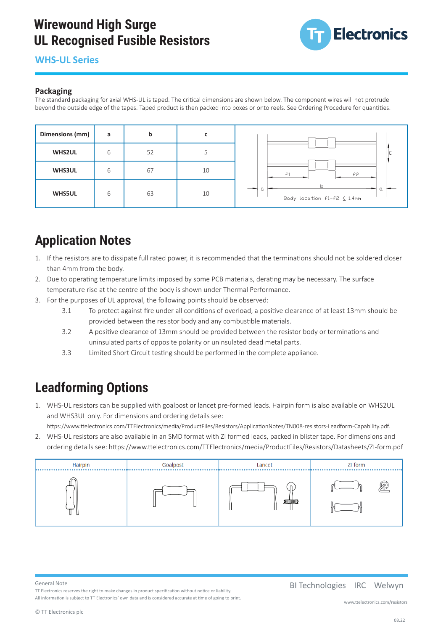# **Wirewound High Surge UL Recognised Fusible Resistors**



# **WHS-UL Series Wirewound High Surge**

# **Packaging**

The standard packaging for axial WHS-UL is taped. The critical dimensions are shown below. The component wires will not protrude beyond the outside edge of the tapes. Taped product is then packed into boxes or onto reels. See Ordering Procedure for quantities.



### **Application Notes Application Notes**

- 1. If the resistors are to dissipate full rated power, it is recommended that the terminations should not be soldered closer I. If the resistors are to dissipate full rated<br>than 4mm from the body.
	- 2. Due to operating temperature limits imposed by some PCB materials, derating may be necessary. The surface 2. Due to operating temperature limits imposed by some PCB materials, derating may be necessary. The surface temperature rise at the centre of the body is shown under Thermal Performance. comperature rise at the centre of the
	- 3. For the purposes of UL approval, the following points should be observed:
	- 3.1 To protect against fire under all conditions of overload, a positive clearance of at least 13mm should be provided between the resistor body and any combustible materials.
		- 3.2 A positive clearance of 13mm should be provided between the resistor body or terminations and en<br>uninsulated parts of opposite polarity or uninsulated dead metal parts.
	- 3.3 Limited Short Circuit testing should be performed in the complete appliance. unities of one of our team generate be portained in the complete applies

#### $1.6 \text{ m}$  resistors can be supplied with goal pre-formed leads. Hairpin formed leads. Hairpin form is also available on  $\Omega$ **Leadforming Options** and ordering details see:  $\mathbf{L}$

Component body length L 14.5 max

2. WHS-UL resistors are also available in an SMD format with ZI formed leads, packed in blister tape. For dimensions 1. WHS-UL resistors can be supplied with goalpost or lancet pre-formed leads. Hairpin form is also available on WHS2UL 1. WHS-UL resistors can be supplied with goalpost or lancet pre-formed leads. Hairpin form is also available on and WHS3UL only. For dimensions and ordering details see:

https://www.ttelectronics.com/TTElectronics/media/ProductFiles/Resistors/ApplicationNotes/TN008-resistors-Leadform-Capability.pdf.

2. WHS-UL resistors are also available in an SMD format with ZI formed leads, packed in blister tape. For dimensions and . WHS-UL resistors are also available in an SMD format with ZI formed leads, packed in blister tape. For dimensions and<br>ordering details see: https://www.ttelectronics.com/TTElectronics/media/ProductFiles/Resistors/Datashe



### General Note

TT Electronics reserves the right to make changes in product specification without notice or liability. TT Electronics reserves the right to make changes in product specification without notice or liability. All information is subject to TT Electronics' own data and is considered accurate at time of going to print.

www.ttelectronics.com/resistors